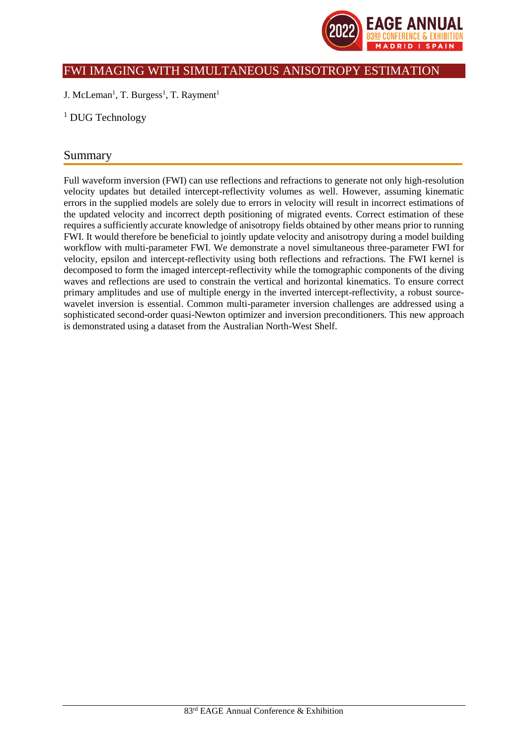

## FWI IMAGING WITH SIMULTANEOUS ANISOTROPY ESTIMATION

J. McLeman<sup>1</sup>, T. Burgess<sup>1</sup>, T. Rayment<sup>1</sup>

<sup>1</sup> DUG Technology

# Summary

Full waveform inversion (FWI) can use reflections and refractions to generate not only high-resolution velocity updates but detailed intercept-reflectivity volumes as well. However, assuming kinematic errors in the supplied models are solely due to errors in velocity will result in incorrect estimations of the updated velocity and incorrect depth positioning of migrated events. Correct estimation of these requires a sufficiently accurate knowledge of anisotropy fields obtained by other means prior to running FWI. It would therefore be beneficial to jointly update velocity and anisotropy during a model building workflow with multi-parameter FWI. We demonstrate a novel simultaneous three-parameter FWI for velocity, epsilon and intercept-reflectivity using both reflections and refractions. The FWI kernel is decomposed to form the imaged intercept-reflectivity while the tomographic components of the diving waves and reflections are used to constrain the vertical and horizontal kinematics. To ensure correct primary amplitudes and use of multiple energy in the inverted intercept-reflectivity, a robust sourcewavelet inversion is essential. Common multi-parameter inversion challenges are addressed using a sophisticated second-order quasi-Newton optimizer and inversion preconditioners. This new approach is demonstrated using a dataset from the Australian North-West Shelf.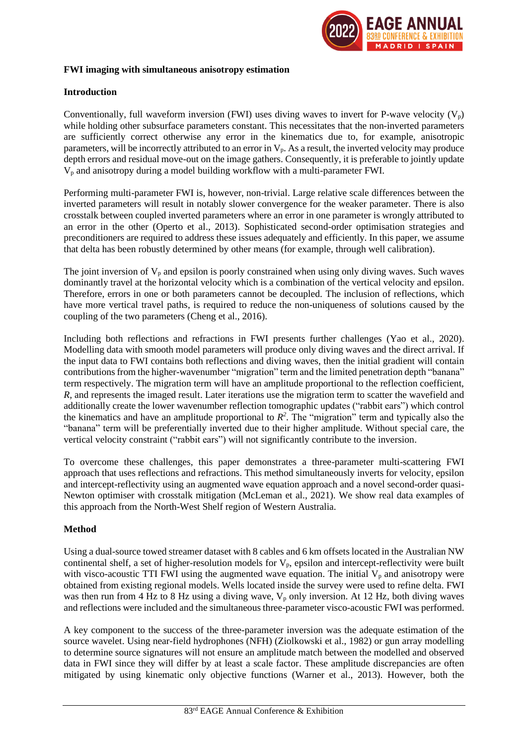

#### **FWI imaging with simultaneous anisotropy estimation**

#### **Introduction**

Conventionally, full waveform inversion (FWI) uses diving waves to invert for P-wave velocity  $(V_p)$ while holding other subsurface parameters constant. This necessitates that the non-inverted parameters are sufficiently correct otherwise any error in the kinematics due to, for example, anisotropic parameters, will be incorrectly attributed to an error in  $V_p$ . As a result, the inverted velocity may produce depth errors and residual move-out on the image gathers. Consequently, it is preferable to jointly update V<sup>p</sup> and anisotropy during a model building workflow with a multi-parameter FWI.

Performing multi-parameter FWI is, however, non-trivial. Large relative scale differences between the inverted parameters will result in notably slower convergence for the weaker parameter. There is also crosstalk between coupled inverted parameters where an error in one parameter is wrongly attributed to an error in the other (Operto et al., 2013). Sophisticated second-order optimisation strategies and preconditioners are required to address these issues adequately and efficiently*.* In this paper, we assume that delta has been robustly determined by other means (for example, through well calibration).

The joint inversion of  $V_p$  and epsilon is poorly constrained when using only diving waves. Such waves dominantly travel at the horizontal velocity which is a combination of the vertical velocity and epsilon. Therefore, errors in one or both parameters cannot be decoupled. The inclusion of reflections, which have more vertical travel paths, is required to reduce the non-uniqueness of solutions caused by the coupling of the two parameters (Cheng et al., 2016).

Including both reflections and refractions in FWI presents further challenges (Yao et al., 2020). Modelling data with smooth model parameters will produce only diving waves and the direct arrival. If the input data to FWI contains both reflections and diving waves, then the initial gradient will contain contributions from the higher-wavenumber "migration" term and the limited penetration depth "banana" term respectively. The migration term will have an amplitude proportional to the reflection coefficient, *R,* and represents the imaged result. Later iterations use the migration term to scatter the wavefield and additionally create the lower wavenumber reflection tomographic updates ("rabbit ears") which control the kinematics and have an amplitude proportional to  $R^2$ . The "migration" term and typically also the "banana" term will be preferentially inverted due to their higher amplitude. Without special care, the vertical velocity constraint ("rabbit ears") will not significantly contribute to the inversion.

To overcome these challenges, this paper demonstrates a three-parameter multi-scattering FWI approach that uses reflections and refractions. This method simultaneously inverts for velocity, epsilon and intercept-reflectivity using an augmented wave equation approach and a novel second-order quasi-Newton optimiser with crosstalk mitigation (McLeman et al., 2021). We show real data examples of this approach from the North-West Shelf region of Western Australia.

## **Method**

Using a dual-source towed streamer dataset with 8 cables and 6 km offsets located in the Australian NW continental shelf, a set of higher-resolution models for  $V_p$ , epsilon and intercept-reflectivity were built with visco-acoustic TTI FWI using the augmented wave equation. The initial  $V_p$  and anisotropy were obtained from existing regional models. Wells located inside the survey were used to refine delta. FWI was then run from 4 Hz to 8 Hz using a diving wave,  $V_p$  only inversion. At 12 Hz, both diving waves and reflections were included and the simultaneous three-parameter visco-acoustic FWI was performed.

A key component to the success of the three-parameter inversion was the adequate estimation of the source wavelet. Using near-field hydrophones (NFH) (Ziolkowski et al., 1982) or gun array modelling to determine source signatures will not ensure an amplitude match between the modelled and observed data in FWI since they will differ by at least a scale factor. These amplitude discrepancies are often mitigated by using kinematic only objective functions (Warner et al., 2013). However, both the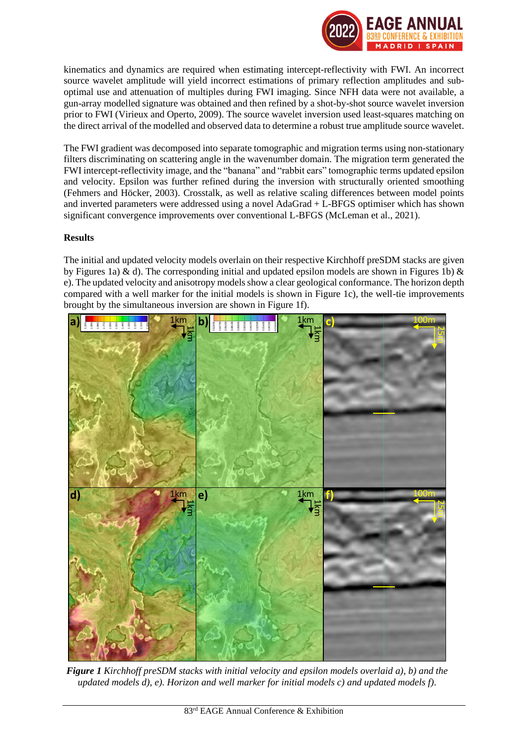

kinematics and dynamics are required when estimating intercept-reflectivity with FWI. An incorrect source wavelet amplitude will yield incorrect estimations of primary reflection amplitudes and suboptimal use and attenuation of multiples during FWI imaging. Since NFH data were not available, a gun-array modelled signature was obtained and then refined by a shot-by-shot source wavelet inversion prior to FWI (Virieux and Operto, 2009). The source wavelet inversion used least-squares matching on the direct arrival of the modelled and observed data to determine a robust true amplitude source wavelet.

The FWI gradient was decomposed into separate tomographic and migration terms using non-stationary filters discriminating on scattering angle in the wavenumber domain. The migration term generated the FWI intercept-reflectivity image, and the "banana" and "rabbit ears" tomographic terms updated epsilon and velocity. Epsilon was further refined during the inversion with structurally oriented smoothing (Fehmers and Höcker, 2003). Crosstalk, as well as relative scaling differences between model points and inverted parameters were addressed using a novel AdaGrad + L-BFGS optimiser which has shown significant convergence improvements over conventional L-BFGS (McLeman et al., 2021).

## **Results**

The initial and updated velocity models overlain on their respective Kirchhoff preSDM stacks are given by Figures 1a) & d). The corresponding initial and updated epsilon models are shown in Figures 1b) & e). The updated velocity and anisotropy modelsshow a clear geological conformance. The horizon depth compared with a well marker for the initial models is shown in Figure 1c), the well-tie improvements brought by the simultaneous inversion are shown in Figure 1f).



*Figure 1 Kirchhoff preSDM stacks with initial velocity and epsilon models overlaid a), b) and the updated models d), e). Horizon and well marker for initial models c) and updated models f).*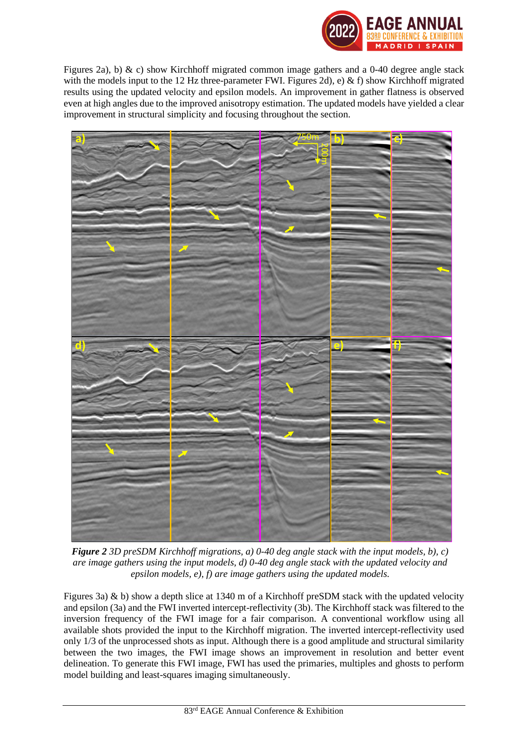

Figures 2a), b) & c) show Kirchhoff migrated common image gathers and a 0-40 degree angle stack with the models input to the 12 Hz three-parameter FWI. Figures 2d), e) & f) show Kirchhoff migrated results using the updated velocity and epsilon models. An improvement in gather flatness is observed even at high angles due to the improved anisotropy estimation. The updated models have yielded a clear improvement in structural simplicity and focusing throughout the section.



*Figure 2 3D preSDM Kirchhoff migrations, a) 0-40 deg angle stack with the input models, b), c) are image gathers using the input models, d) 0-40 deg angle stack with the updated velocity and epsilon models, e), f) are image gathers using the updated models.*

Figures 3a) & b) show a depth slice at 1340 m of a Kirchhoff preSDM stack with the updated velocity and epsilon (3a) and the FWI inverted intercept-reflectivity (3b). The Kirchhoff stack was filtered to the inversion frequency of the FWI image for a fair comparison. A conventional workflow using all available shots provided the input to the Kirchhoff migration. The inverted intercept-reflectivity used only 1/3 of the unprocessed shots as input. Although there is a good amplitude and structural similarity between the two images, the FWI image shows an improvement in resolution and better event delineation. To generate this FWI image, FWI has used the primaries, multiples and ghosts to perform model building and least-squares imaging simultaneously.